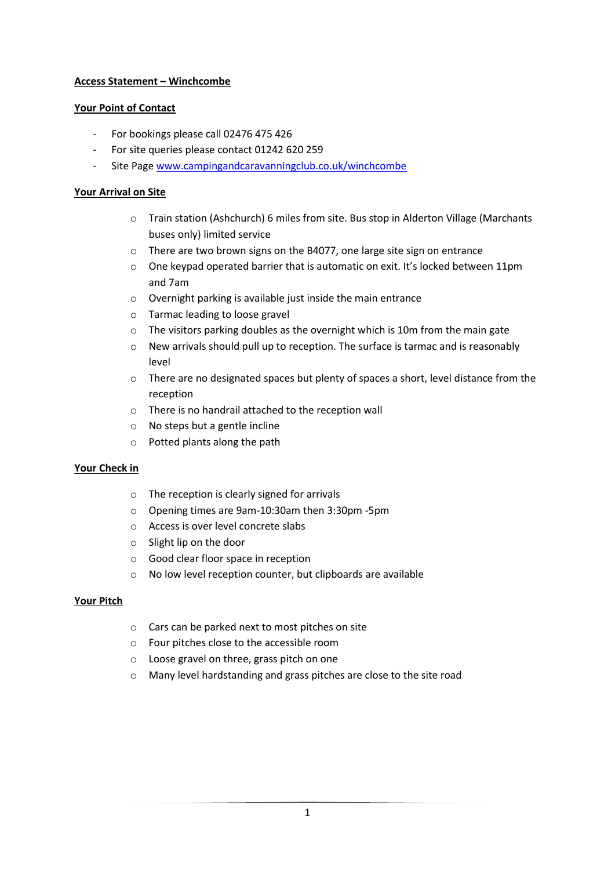# **Access Statement – Winchcombe**

#### **Your Point of Contact**

- For bookings please call 02476 475 426
- For site queries please contact 01242 620 259
- Site Page [www.campingandcaravanningclub.co.uk/winchcombe](http://www.campingandcaravanningclub.co.uk/winchcombe)

# **Your Arrival on Site**

- o Train station (Ashchurch) 6 miles from site. Bus stop in Alderton Village (Marchants buses only) limited service
- o There are two brown signs on the B4077, one large site sign on entrance
- $\circ$  One keypad operated barrier that is automatic on exit. It's locked between 11pm and 7am
- o Overnight parking is available just inside the main entrance
- o Tarmac leading to loose gravel
- $\circ$  The visitors parking doubles as the overnight which is 10m from the main gate
- o New arrivals should pull up to reception. The surface is tarmac and is reasonably level
- o There are no designated spaces but plenty of spaces a short, level distance from the reception
- o There is no handrail attached to the reception wall
- o No steps but a gentle incline
- o Potted plants along the path

#### **Your Check in**

- o The reception is clearly signed for arrivals
- o Opening times are 9am-10:30am then 3:30pm -5pm
- o Access is over level concrete slabs
- o Slight lip on the door
- o Good clear floor space in reception
- o No low level reception counter, but clipboards are available

#### **Your Pitch**

- o Cars can be parked next to most pitches on site
- o Four pitches close to the accessible room
- o Loose gravel on three, grass pitch on one
- o Many level hardstanding and grass pitches are close to the site road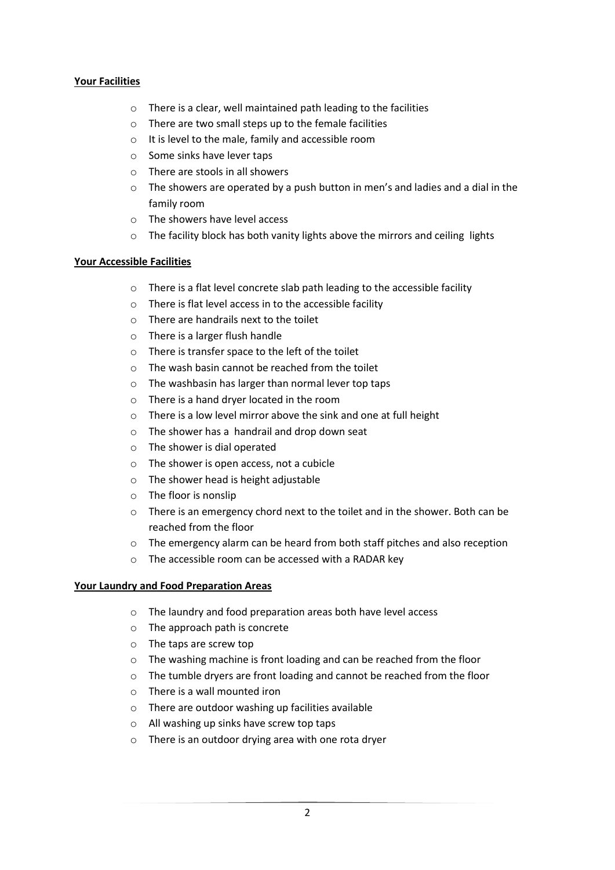# **Your Facilities**

- o There is a clear, well maintained path leading to the facilities
- $\circ$  There are two small steps up to the female facilities
- o It is level to the male, family and accessible room
- o Some sinks have lever taps
- o There are stools in all showers
- $\circ$  The showers are operated by a push button in men's and ladies and a dial in the family room
- o The showers have level access
- o The facility block has both vanity lights above the mirrors and ceiling lights

# **Your Accessible Facilities**

- o There is a flat level concrete slab path leading to the accessible facility
- o There is flat level access in to the accessible facility
- o There are handrails next to the toilet
- o There is a larger flush handle
- o There is transfer space to the left of the toilet
- o The wash basin cannot be reached from the toilet
- o The washbasin has larger than normal lever top taps
- o There is a hand dryer located in the room
- o There is a low level mirror above the sink and one at full height
- o The shower has a handrail and drop down seat
- o The shower is dial operated
- o The shower is open access, not a cubicle
- o The shower head is height adjustable
- o The floor is nonslip
- o There is an emergency chord next to the toilet and in the shower. Both can be reached from the floor
- o The emergency alarm can be heard from both staff pitches and also reception
- o The accessible room can be accessed with a RADAR key

#### **Your Laundry and Food Preparation Areas**

- o The laundry and food preparation areas both have level access
- o The approach path is concrete
- o The taps are screw top
- o The washing machine is front loading and can be reached from the floor
- $\circ$  The tumble dryers are front loading and cannot be reached from the floor
- o There is a wall mounted iron
- o There are outdoor washing up facilities available
- o All washing up sinks have screw top taps
- o There is an outdoor drying area with one rota dryer